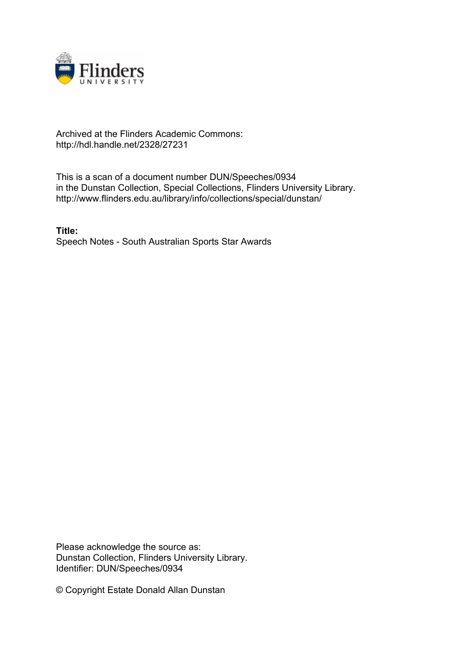

## Archived at the Flinders Academic Commons: http://hdl.handle.net/2328/27231

This is a scan of a document number DUN/Speeches/0934 in the Dunstan Collection, Special Collections, Flinders University Library. http://www.flinders.edu.au/library/info/collections/special/dunstan/

**Title:** Speech Notes - South Australian Sports Star Awards

Please acknowledge the source as: Dunstan Collection, Flinders University Library. Identifier: DUN/Speeches/0934

© Copyright Estate Donald Allan Dunstan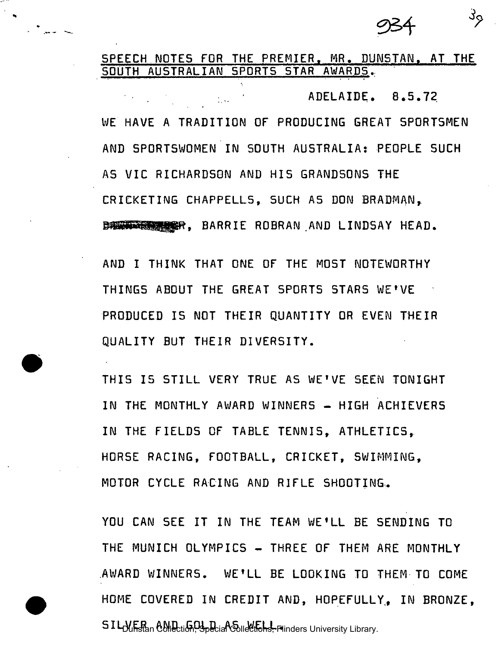$\mathcal{S}_{\mathcal{P}}$ 

## SPEECH NOTES FOR THE PREMIER. MR. DUNSTAN. AT THE SOUTH AUSTRALIAN 5P0RT5 STAR AWARDS.

ت سيزال.<br>جا سيزال

ADELAIDE. 8.5.72  $\frac{1}{2}$  ,  $\frac{1}{2}$  . WE HAVE A TRADITION OF PRODUCING GREAT SPORTSMEN AND SPORTSWOMEN IN SOUTH AUSTRALIA: PEOPLE SUCH AS VIC RICHARDSON AND HIS GRANDSONS THE CRICKETING CHAPPELL5, SUCH AS DON BRADMAN, BANK WARDER, BARRIE ROBRAN AND LINDSAY HEAD.

AND I THINK THAT ONE OF THE MOST NOTEWORTHY THINGS ABOUT THE GREAT SPORTS STARS WE'VE PRODUCED IS NOT THEIR QUANTITY OR EVEN THEIR QUALITY BUT THEIR DIVERSITY.

THIS IS STILL VERY TRUE AS WE'VE SEEN TONIGHT IN THE MONTHLY AWARD WINNERS - HIGH ACHIEVERS IN THE FIELDS OF TABLE TENNIS, ATHLETICS, HORSE RACING, FOOTBALL, CRICKET, SWIMMING, MOTOR CYCLE RACING AND RIFLE SHOOTING.

YOU CAN SEE IT IN THE TEAM WE'LL BE SENDING TO THE MUNICH OLYMPICS - THREE OF THEM ARE MONTHLY AWARD WINNERS. WE'LL BE LOOKING TO THEM-TO COME HOME COVERED IN CREDIT AND, HOPEFULLY, IN BRONZE. SIL-WER AND GOLD and WELL Plinders University Library.